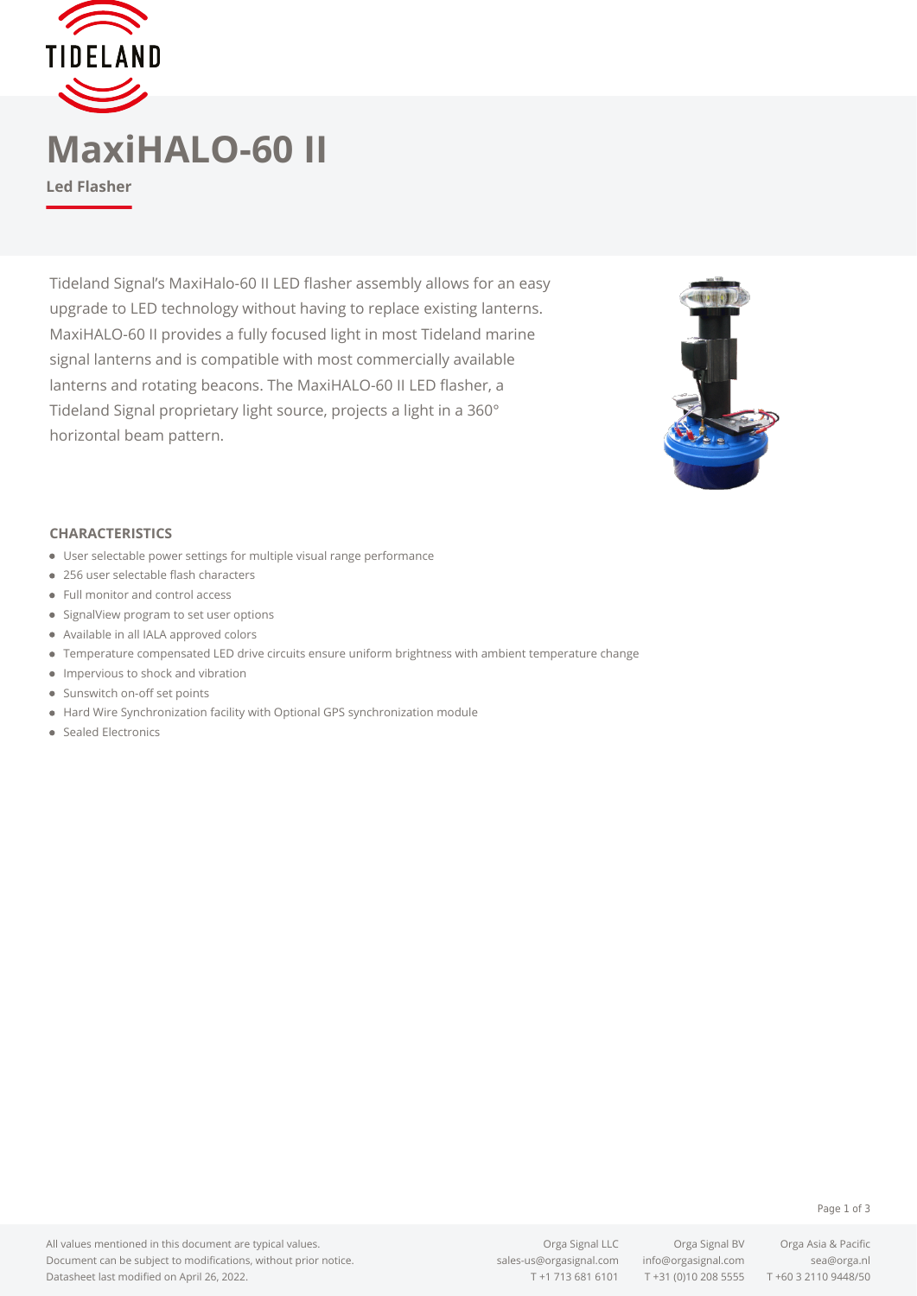

## **MaxiHALO-60 II**

**Led Flasher**

Tideland Signal's MaxiHalo-60 II LED flasher assembly allows for an easy upgrade to LED technology without having to replace existing lanterns. MaxiHALO-60 II provides a fully focused light in most Tideland marine signal lanterns and is compatible with most commercially available lanterns and rotating beacons. The MaxiHALO-60 II LED flasher, a Tideland Signal proprietary light source, projects a light in a 360° horizontal beam pattern.



### **CHARACTERISTICS**

- User selectable power settings for multiple visual range performance
- 256 user selectable flash characters
- Full monitor and control access
- SignalView program to set user options
- Available in all IALA approved colors
- Temperature compensated LED drive circuits ensure uniform brightness with ambient temperature change
- **•** Impervious to shock and vibration
- Sunswitch on-off set points
- Hard Wire Synchronization facility with Optional GPS synchronization module
- Sealed Electronics

Orga Signal LLC Orga Signal BV Orga Asia & Pacific T +1 713 681 6101 T +31 (0)10 208 5555 T +60 3 2110 9448/50

#### Page 1 of 3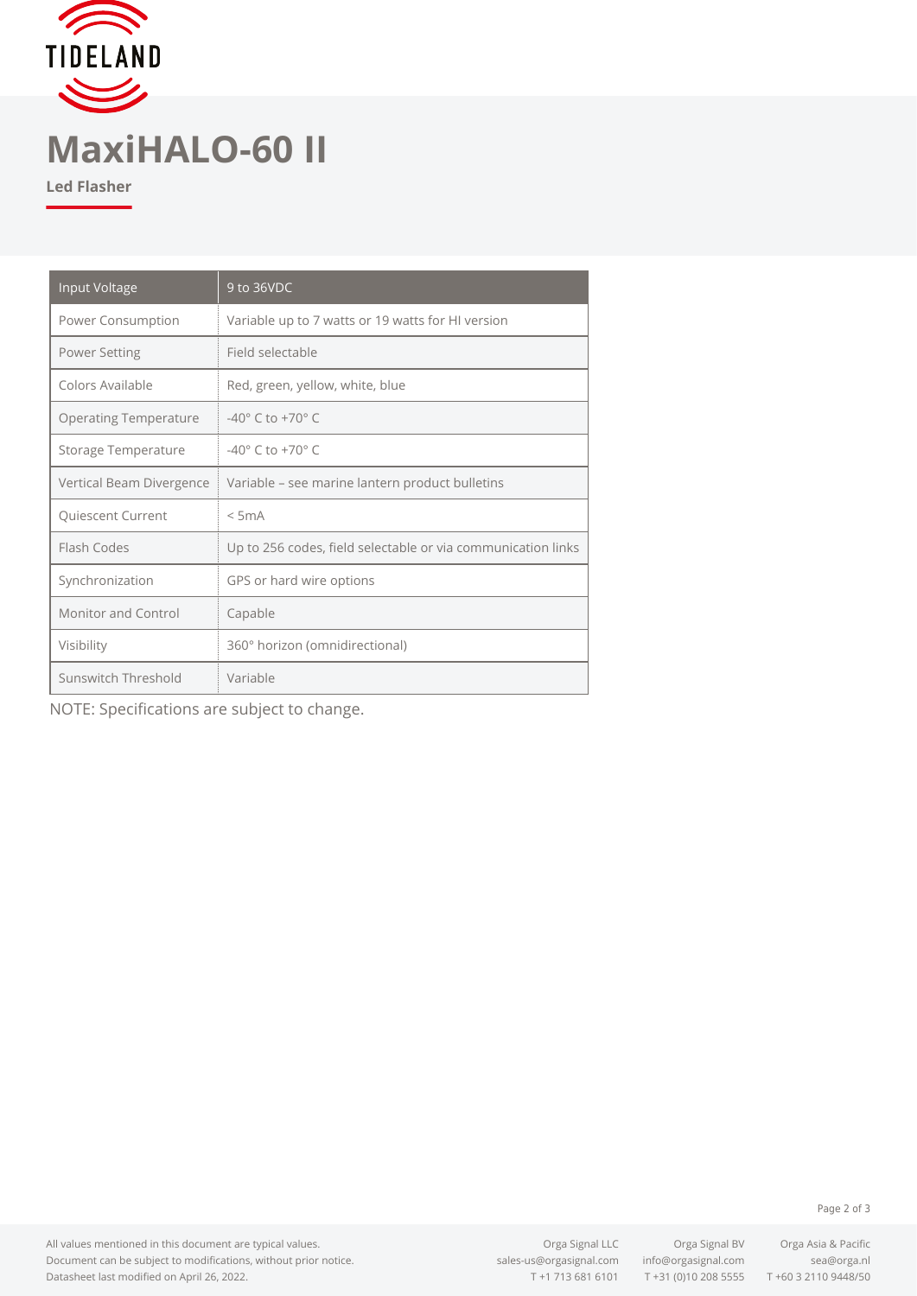

# **MaxiHALO-60 II**

**Led Flasher**

| Input Voltage                | 9 to 36VDC                                                   |
|------------------------------|--------------------------------------------------------------|
| Power Consumption            | Variable up to 7 watts or 19 watts for HI version            |
| <b>Power Setting</b>         | Field selectable                                             |
| Colors Available             | Red, green, yellow, white, blue                              |
| <b>Operating Temperature</b> | $-40^{\circ}$ C to $+70^{\circ}$ C                           |
| Storage Temperature          | $-40^{\circ}$ C to $+70^{\circ}$ C                           |
| Vertical Beam Divergence     | Variable - see marine lantern product bulletins              |
| Quiescent Current            | $<$ 5 $mA$                                                   |
| Flash Codes                  | Up to 256 codes, field selectable or via communication links |
| Synchronization              | GPS or hard wire options                                     |
| Monitor and Control          | Capable                                                      |
| Visibility                   | 360° horizon (omnidirectional)                               |
| Sunswitch Threshold          | Variable                                                     |

NOTE: Specifications are subject to change.

All values mentioned in this document are typical values. Document can be subject to modifications, without prior notice. Datasheet last modified on April 26, 2022.

[sales-us@orgasignal.com](mailto:sales-us@orgasignal.com) [info@orgasignal.com](mailto:info@orgasignal.com) [sea@orga.nl](mailto:sales-us@orgasignal.com)

Orga Signal LLC Orga Signal BV Orga Asia & Pacific T +1 713 681 6101 T +31 (0)10 208 5555 T +60 3 2110 9448/50

Page 2 of 3